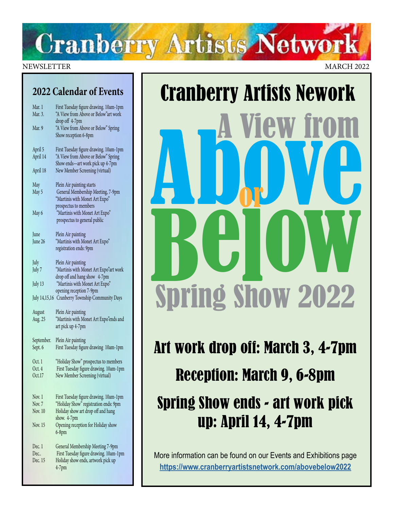# **Cranberry Artists Network**

#### NEWSLETTER MARCH 2022

### **2022 Calendar of Events**

| Mar. 1<br>Mar. 3. | First Tuesday figure drawing. 10am-1pm<br>"A View from Above or Below"art work           |
|-------------------|------------------------------------------------------------------------------------------|
|                   | drop off 4-7pm                                                                           |
| Mar. 9            | "A View from Above or Below" Spring<br>Show reception 6-8pm                              |
| April 5           | First Tuesday figure drawing. 10am-1pm                                                   |
| April 14          | "A View from Above or Below" Spring<br>Show ends-art work pick up 4-7pm                  |
| April 18          | New Member Screening (virtual)                                                           |
| May               | Plein Air painting starts                                                                |
| May 5             | General Membership Meeting, 7-9pm                                                        |
|                   | "Martinis with Monet Art Expo"                                                           |
| May 6             | prospectus to members<br>"Martinis with Monet Art Expo"                                  |
|                   | prospectus to general public                                                             |
| June              | Plein Air painting                                                                       |
| June 26           | "Martinis with Monet Art Expo"                                                           |
|                   | registration ends: 9pm                                                                   |
| July              | Plein Air painting                                                                       |
| July 7            | "Martinis with Monet Art Expo"art work                                                   |
|                   | drop off and hang show 4-7pm                                                             |
| July 13           | "Martinis with Monet Art Expo"<br>opening reception 7-9pm                                |
| July 14,15,16     | Cranberry Township Community Days                                                        |
| August            | Plein Air painting                                                                       |
| Aug. 25           | "Martinis with Monet Art Expo"ends and                                                   |
|                   | art pick up 4-7pm                                                                        |
| September.        | Plein Air painting                                                                       |
| Sept. 6           | First Tuesday figure drawing 10am-1pm                                                    |
| Oct. 1            | "Holiday Show" prospectus to members                                                     |
| Oct. 4            | First Tuesday figure drawing. 10am-1pm                                                   |
| Oct.17            | New Member Screening (virtual)                                                           |
| Nov. 1            | First Tuesday figure drawing. 10am-1pm                                                   |
| Nov. 7            | "Holiday Show" registration ends: 9pm                                                    |
| Nov. 10           | Holiday show art drop off and hang                                                       |
| Nov. 15           | show. 4-7pm<br>Opening reception for Holiday show                                        |
|                   | $6-8pm$                                                                                  |
| Dec. 1            | General Membership Meeting 7-9pm                                                         |
|                   |                                                                                          |
| Dec.              |                                                                                          |
| Dec. 15           | First Tuesday figure drawing. 10am-1pm<br>Holiday show ends, artwork pick up<br>$4-7$ pm |

# Cranberry Artists Nework<br> **A View from A**<br> **A DOW YOU** Below<br>Shrind Shaw 2022 Spring Show 2022 or

Art work drop off: March 3, 4-7pm Reception: March 9, 6-8pm Spring Show ends - art work pick up: April 14, 4-7pm

More information can be found on our Events and Exhibitions page **<https://www.cranberryartistsnetwork.com/abovebelow2022>**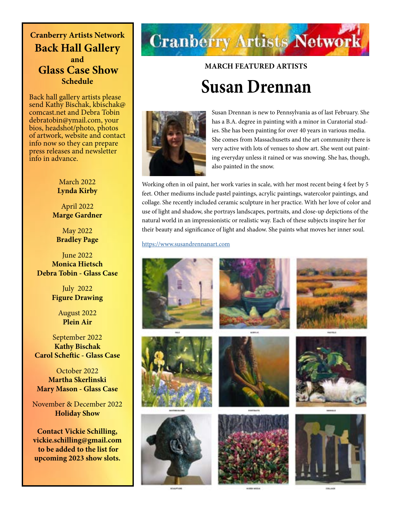**Cranberry Artists Network Back Hall Gallery and Glass Case Show Schedule** 

Back hall gallery artists please send Kathy Bischak, kbischak@ comcast.net and Debra Tobin debratobin@ymail.com, your bios, headshot/photo, photos of artwork, website and contact info now so they can prepare press releases and newsletter info in advance.

#### March 2022 **Lynda Kirby**

April 2022 **Marge Gardner**

May 2022 **Bradley Page**

June 2022 **Monica Hietsch Debra Tobin - Glass Case**

> July 2022 **Figure Drawing**

> > August 2022 **Plein Air**

September 2022 **Kathy Bischak Carol Scheftic - Glass Case**

October 2022 **Martha Skerlinski Mary Mason - Glass Case**

November & December 2022 **Holiday Show**

**Contact Vickie Schilling, vickie.schilling@gmail.com to be added to the list for upcoming 2023 show slots.**

# **Cranberry Artists Network**

## **MARCH FEATURED ARTISTS Susan Drennan**



Susan Drennan is new to Pennsylvania as of last February. She has a B.A. degree in painting with a minor in Curatorial studies. She has been painting for over 40 years in various media. She comes from Massachusetts and the art community there is very active with lots of venues to show art. She went out painting everyday unless it rained or was snowing. She has, though, also painted in the snow.

Working often in oil paint, her work varies in scale, with her most recent being 4 feet by 5 feet. Other mediums include pastel paintings, acrylic paintings, watercolor paintings, and collage. She recently included ceramic sculpture in her practice. With her love of color and use of light and shadow, she portrays landscapes, portraits, and close-up depictions of the natural world in an impressionistic or realistic way. Each of these subjects inspire her for their beauty and significance of light and shadow. She paints what moves her inner soul.

#### <https://www.susandrennanart.com>

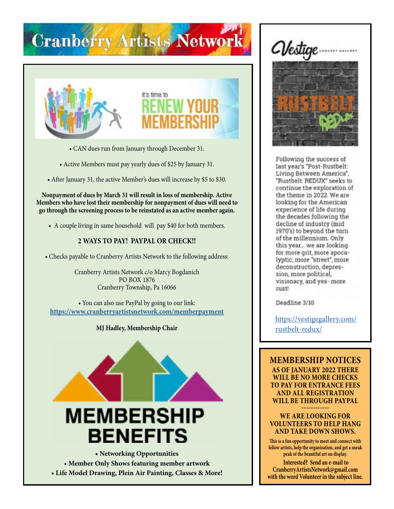# **Cranberry Artists Network**





- CAN dues run from January through December 31.
- Active Members must pay yearly dues of \$25 by January 31.
- After January 31, the active Member's dues will increase by \$5 to \$30.

**Nonpayment of dues by March 31 will result in loss of membership. Active Members who have lost their membership for nonpayment of dues will need to go through the screening process to be reinstated as an active member again.**

• A couple living in same household will pay \$40 for both members.

#### **2 WAYS TO PAY! PAYPAL OR CHECK!!**

• Checks payable to Cranberry Artists Network to the following address:

Cranberry Artists Network c/o Marcy Bogdanich PO BOX 1876 Cranberry Township, Pa 16066

• You can also use PayPal by going to our link: **<https://www.cranberryartistsnetwork.com/memberpayment>**

#### **MJ Hadley, Membership Chair**



**• Member Only Shows featuring member artwork • Life Model Drawing, Plein Air Painting, Classes & More!**





Following the success of last year's "Post-Rustbelt: Living Between America", "Rustbelt: REDUX" seeks to continue the exploration of the theme in 2022. We are looking for the American experience of life during the decades following the decline of industry (mid 1970's) to beyond the turn of the millennium. Only this year... we are looking for more grit, more apocalyptic, more "street", more deconstruction, depression, more political, visionary, and yes- more rust!

Deadline 3/10

[https://vestigegallery.com/](https://vestigegallery.com/rustbelt-redux/) [rustbelt-redux/](https://vestigegallery.com/rustbelt-redux/)

**MEMBERSHIP NOTICES AS OF JANUARY 2022 THERE WILL BE NO MORE CHECKS TO PAY FOR ENTRANCE FEES AND ALL REGISTRATION WILL BE THROUGH PAYPAL** 

**------------ WE ARE LOOKING FOR VOLUNTEERS TO HELP HANG AND TAKE DOWN SHOWS.**

**This is a fun opportunity to meet and connect with fellow artists, help the organization, and get a sneak peak of the beautiful art on display.** 

**Interested? Send an e-mail to CranberryArtistsNetwork@gmail.com with the word Volunteer in the subject line.**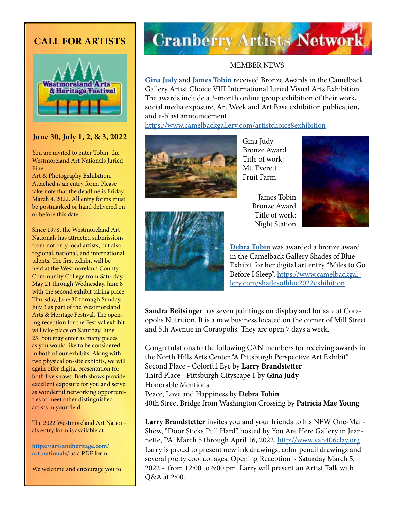### **CALL FOR ARTISTS**



#### **June 30, July 1, 2, & 3, 2022**

You are invited to enter Tobin the Westmoreland Art Nationals Juried Fine

Art & Photography Exhibition. Attached is an entry form. Please take note that the deadline is Friday, March 4, 2022. All entry forms must be postmarked or hand delivered on or before this date.

Since 1978, the Westmoreland Art Nationals has attracted submissions from not only local artists, but also regional, national, and international talents. The first exhibit will be held at the Westmoreland County Community College from Saturday, May 21 through Wednesday, June 8 with the second exhibit taking place Thursday, June 30 through Sunday, July 3 as part of the Westmoreland Arts & Heritage Festival. The opening reception for the Festival exhibit will take place on Saturday, June 25. You may enter as many pieces as you would like to be considered in both of our exhibits. Along with two physical on-site exhibits, we will again offer digital presentation for both live shows. Both shows provide excellent exposure for you and serve as wonderful networking opportunities to meet other distinguished artists in your field.

The 2022 Westmoreland Art Nationals entry form is available at

**[https://artsandheritage.com/](https://artsandheritage.com/art-nationals/) [art-nationals/](https://artsandheritage.com/art-nationals/)** as a PDF form.

We welcome and encourage you to

# **Cranberry Artists Network**

#### MEMBER NEWS

**[Gina Judy](https://www.ginajudyfineart.com/)** and **[James Tobin](https://jamestobinart.com/)** received Bronze Awards in the Camelback Gallery Artist Choice VIII International Juried Visual Arts Exhibition. The awards include a 3-month online group exhibition of their work, social media exposure, Art Week and Art Base exhibition publication, and e-blast announcement.

<https://www.camelbackgallery.com/artistchoice8exhibition>



Gina Judy Bronze Award Title of work: Mt. Everett Fruit Farm

> James Tobin Bronze Award Title of work: Night Station





**[Debra Tobin](http://debratobinart.com)** was awarded a bronze award in the Camelback Gallery Shades of Blue Exhibit for her digital art entry "Miles to Go Before I Sleep". [https://www.camelbackgal](https://www.camelbackgallery.com/shadesofblue2022exhibition)[lery.com/shadesofblue2022exhibition](https://www.camelbackgallery.com/shadesofblue2022exhibition)

**Sandra Beitsinger** has seven paintings on display and for sale at Coraopolis Nutrition. It is a new business located on the corner of Mill Street and 5th Avenue in Coraopolis. They are open 7 days a week.

Congratulations to the following CAN members for receiving awards in the North Hills Arts Center "A Pittsburgh Perspective Art Exhibit" Second Place - Colorful Eye by **Larry Brandstetter**  Third Place - Pittsburgh Cityscape 1 by **Gina Judy**  Honorable Mentions Peace, Love and Happiness by **Debra Tobin**  40th Street Bridge from Washington Crossing by **Patricia Mae Young** 

**Larry Brandstetter** invites you and your friends to his NEW One-Man-Show, "Door Sticks Pull Hard" hosted by You Are Here Gallery in Jeannette, PA. March 5 through April 16, 2022.<http://www.yah406clay.org> Larry is proud to present new ink drawings, color pencil drawings and several pretty cool collages. Opening Reception ~ Saturday March 5, 2022 ~ from 12:00 to 6:00 pm. Larry will present an Artist Talk with Q&A at 2:00.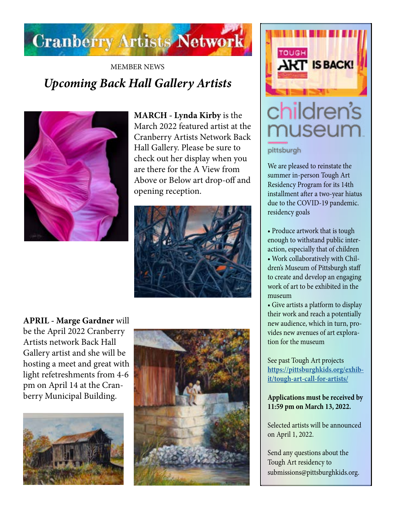

### MEMBER NEWS *Upcoming Back Hall Gallery Artists*



**MARCH - Lynda Kirby** is the March 2022 featured artist at the Cranberry Artists Network Back Hall Gallery. Please be sure to check out her display when you are there for the A View from Above or Below art drop-off and opening reception.



**APRIL - Marge Gardner** will be the April 2022 Cranberry Artists network Back Hall Gallery artist and she will be hosting a meet and great with light refetreshments from 4-6 pm on April 14 at the Cranberry Municipal Building.







# children's museum

#### pittsburgh

We are pleased to reinstate the summer in-person Tough Art Residency Program for its 14th installment after a two-year hiatus due to the COVID-19 pandemic. residency goals

- Produce artwork that is tough enough to withstand public interaction, especially that of children
- Work collaboratively with Children's Museum of Pittsburgh staff to create and develop an engaging work of art to be exhibited in the museum
- Give artists a platform to display their work and reach a potentially new audience, which in turn, provides new avenues of art exploration for the museum

See past Tough Art projects **[https://pittsburghkids.org/exhib](https://pittsburghkids.org/exhibit/tough-art-call-for-artists/)[it/tough-art-call-for-artists/](https://pittsburghkids.org/exhibit/tough-art-call-for-artists/)**

#### **Applications must be received by 11:59 pm on March 13, 2022.**

Selected artists will be announced on April 1, 2022.

Send any questions about the Tough Art residency to submissions@pittsburghkids.org.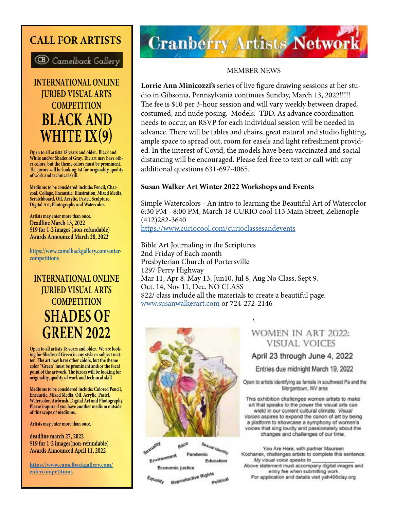### **CALL FOR ARTISTS**



**INTERNATIONAL ONLINE JURIED VISUAL ARTS COMPETITION BLACK AND WHITE IX(9)**

**Open to all artists 18 years and older. Black and White and/or Shades of Gray. The art may have other colors, but the theme colors must be prominent. The jurors will be looking 1st for originality, quality of work and technical skill.** 

**Mediums to be considered include: Pencil, Charcoal, Collage, Encaustic, Illustration, Mixed Media, Scratchboard, Oil, Acrylic, Pastel, Sculpture, Digital Art, Photography and Watercolor.** 

**Artists may enter more than once. Deadline March 13, 2022 \$19 for 1-2 images (non-refundable) Awards Announced March 28, 2022**

**[https://www.camelbackgallery.com/enter](https://www.camelbackgallery.com/entercompetitions) [competitions](https://www.camelbackgallery.com/entercompetitions)**

### **INTERNATIONAL ONLINE JURIED VISUAL ARTS COMPETITION SHADES OF GREEN 2022**

**Open to all artists 18 years and older. We are look ing for Shades of Green in any style or subject mat ter. The art may have other colors, but the theme color "Green" must be prominent and/or the focal point of the artwork. The jurors will be looking for originality, quality of work and technical skill.** 

**Mediums to be considered include: Colored Pencil, Encaustic, Mixed Media, Oil, Acrylic, Pastel, Watercolor, Airbrush, Digital Art and Photography. Please inquire if you have another medium outside of this scope of mediums.**

**Artists may enter more than once.**

**deadline march 27, 2022 \$19 for 1-2 images(non-refundable) Awards Announced April 11, 2022**

**[https://www.camelbackgallery.com/](https://www.camelbackgallery.com/entercompetitions) [entercompetitions](https://www.camelbackgallery.com/entercompetitions)**

# **Cranberry Artists Network**

#### MEMBER NEWS

**Lorrie Ann Minicozzi's** series of live figure drawing sessions at her studio in Gibsonia, Pennsylvania continues Sunday, March 13, 2022!!!!! The fee is \$10 per 3-hour session and will vary weekly between draped, costumed, and nude posing. Models: TBD. As advance coordination needs to occur, an RSVP for each individual session will be needed in advance. There will be tables and chairs, great natural and studio lighting, ample space to spread out, room for easels and light refreshment provided. In the interest of Covid, the models have been vaccinated and social distancing will be encouraged. Please feel free to text or call with any additional questions 631-697-4065.

#### **Susan Walker Art Winter 2022 Workshops and Events**

Simple Watercolors - An intro to learning the Beautiful Art of Watercolor 6:30 PM - 8:00 PM, March 18 CURIO cool 113 Main Street, Zelienople (412)282-3640 <https://www.curiocool.com/curioclassesandevents>

[\](https://www.yah406clay.org/)

Bible Art Journaling in the Scriptures 2nd Friday of Each month Presbyterian Church of Portersville 1297 Perry Highway Mar 11, Apr 8, May 13, Jun10, Jul 8, Aug No Class, Sept 9, Oct. 14, Nov 11, Dec. NO CLASS \$22/ class include all the materials to create a beautiful page. [www.susanwalkerart.com](http://www.susanwalkerart.com) or 724-272-2146



Sexual Identity<br>mic Race Environment Pandemic Education Economic justice

Reproductive Rights quality Political

#### WOMEN IN ART 2022: **VISUAL VOICES**

#### April 23 through June 4, 2022

Entries due midnight March 19, 2022

Open to artists identifying as female in southwest Pa and the Morgantown, WV area

This exhibition challenges women artists to make art that speaks to the power the visual arts can wield in our current cultural climate. Visual Voices aspires to expand the canon of art by being a platform to showcase a symphony of women's voices that sing loudly and passionately about the changes and challenges of our time.

You Are Here, with partner Maureen Kochanek, challenges artists to complete this sentence: My visual voice speaks to \_ Above statement must accompany digital images and entry fee when submitting work. For application and details visit yah406clay.org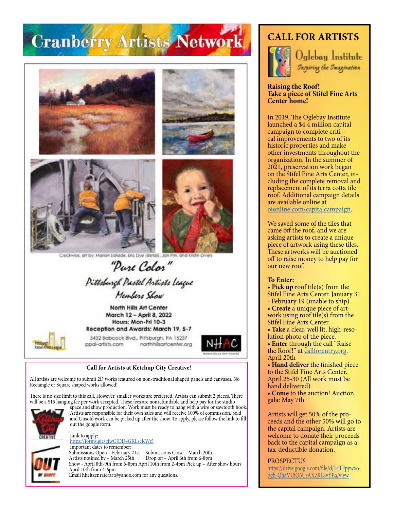# **Cranberry Artists Network**









(detail), Jan Pini, and Kristin Dive Clockwise, art by: Marian Salk

"Pure Color" Pittsburgh Pastel Artists League

Members Show

North Hills Art Center March 12 - April 8, 2022 Hours: Mon-Fri 10-3 Reception and Awards: March 19, 5-7



3432 Babcock Blvd., Pittsburgh, PA 15237 northhillsartcenter.org ppal-artists.com



#### **Call for Artists at Ketchup City Creative!**

All artists are welcome to submit 2D works featured on non-traditional shaped panels and canvases. No Rectangle or Square shaped works allowed!

There is no size limit to this call. However, smaller works are preferred. Artists can submit 2 pieces. There will be a \$15 hanging fee per work accepted. These fees are nonrefundable and help pay for the studio



space and show production. Work must be ready to hang with a wire or sawtooth hook. Artists are responsible for their own sales and will receive 100% of commission. Sold and Unsold work can be picked up after the show. To apply, please follow the link to fill out the google form.



Email hheitzenraterart@yahoo.com for any questions.

### **CALL FOR ARTISTS**



Oglebay Institute *Inspiring the Imagination* 

#### **Raising the Roof! Take a piece of Stifel Fine Arts Center home!**

In 2019, The Oglebay Institute launched a \$4.4 million capital campaign to complete critical improvements to two of its historic properties and make other investments throughout the organization. In the summer of 2021, preservation work began on the Stifel Fine Arts Center, in cluding the complete removal and replacement of its terra cotta tile roof. Additional campaign details are available online at [oionline.com/capitalcampaign](http://oionline.com/capitalcampaign/).

We saved some of the tiles that came off the roof, and we are asking artists to create a unique piece of artwork using these tiles. These artworks will be auctioned off to raise money to help pay for our new roof.

#### **To Enter:**

- **Pick up** roof tile(s) from the
- Stifel Fine Arts Center. January 31 - February 19 (unable to ship)
- **Create** a unique piece of art-
- work using roof tile(s) from the Stifel Fine Arts Center.
- **Take** a clear, well lit, high-resolution photo of the piece.

• **Enter** through the call "Raise the Roof!" at [callforentry.org](https://www.callforentry.org/). April 20th

• **Hand deliver** the finished piece to the Stifel Fine Arts Center. April 25-30 (All work must be hand delivered)

• **Come** to the auction! Auction gala: May 7th

Artists will get 50% of the proceeds and the other 50% will go to the capital campaign. Artists are welcome to donate their proceeds back to the capital campaign as a tax-deductible donation.

PROSPECTUS

[https://drive.google.com/file/d/14TFpyw6o](https://drive.google.com/file/d/14TFpyw6opgh-QhaVUiQ6UsAXZ9L8vYBa/view)[pgh-QhaVUiQ6UsAXZ9L8vYBa/view](https://drive.google.com/file/d/14TFpyw6opgh-QhaVUiQ6UsAXZ9L8vYBa/view)